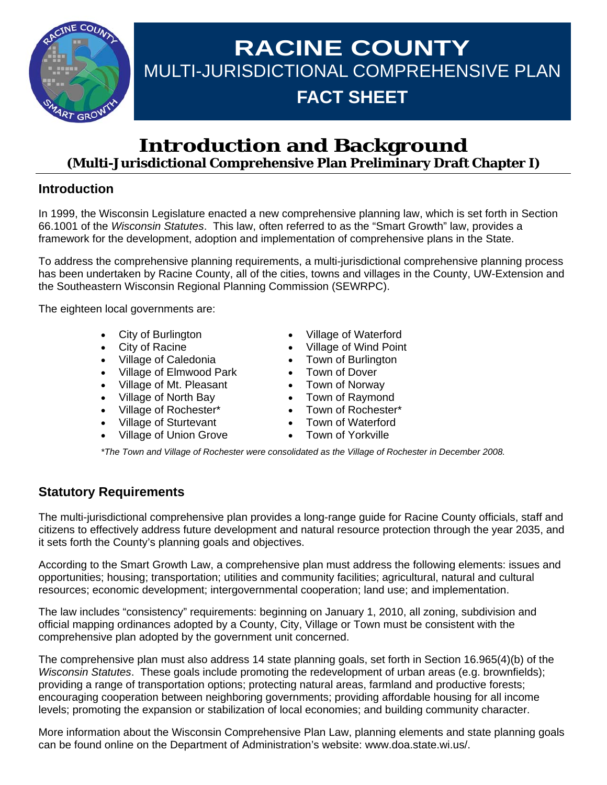

# **RACINE COUNTY**  MULTI-JURISDICTIONAL COMPREHENSIVE PLAN **FACT SHEET**

# **Introduction and Background (Multi-Jurisdictional Comprehensive Plan Preliminary Draft Chapter I)**

## **Introduction**

In 1999, the Wisconsin Legislature enacted a new comprehensive planning law, which is set forth in Section 66.1001 of the *Wisconsin Statutes*. This law, often referred to as the "Smart Growth" law, provides a framework for the development, adoption and implementation of comprehensive plans in the State.

To address the comprehensive planning requirements, a multi-jurisdictional comprehensive planning process has been undertaken by Racine County, all of the cities, towns and villages in the County, UW-Extension and the Southeastern Wisconsin Regional Planning Commission (SEWRPC).

The eighteen local governments are:

- City of Burlington
- **City of Racine**
- Village of Caledonia
- Village of Elmwood Park
- Village of Mt. Pleasant
- Village of North Bay
- Village of Rochester\*
- Village of Sturtevant
- Village of Union Grove
- Village of Waterford
- Village of Wind Point
- Town of Burlington
- Town of Dover
- Town of Norway
- Town of Raymond
- Town of Rochester\*
- Town of Waterford
- Town of Yorkville

*\*The Town and Village of Rochester were consolidated as the Village of Rochester in December 2008.* 

## **Statutory Requirements**

The multi-jurisdictional comprehensive plan provides a long-range guide for Racine County officials, staff and citizens to effectively address future development and natural resource protection through the year 2035, and it sets forth the County's planning goals and objectives.

According to the Smart Growth Law, a comprehensive plan must address the following elements: issues and opportunities; housing; transportation; utilities and community facilities; agricultural, natural and cultural resources; economic development; intergovernmental cooperation; land use; and implementation.

The law includes "consistency" requirements: beginning on January 1, 2010, all zoning, subdivision and official mapping ordinances adopted by a County, City, Village or Town must be consistent with the comprehensive plan adopted by the government unit concerned.

The comprehensive plan must also address 14 state planning goals, set forth in Section 16.965(4)(b) of the *Wisconsin Statutes*. These goals include promoting the redevelopment of urban areas (e.g. brownfields); providing a range of transportation options; protecting natural areas, farmland and productive forests; encouraging cooperation between neighboring governments; providing affordable housing for all income levels; promoting the expansion or stabilization of local economies; and building community character.

More information about the Wisconsin Comprehensive Plan Law, planning elements and state planning goals can be found online on the Department of Administration's website: www.doa.state.wi.us/.